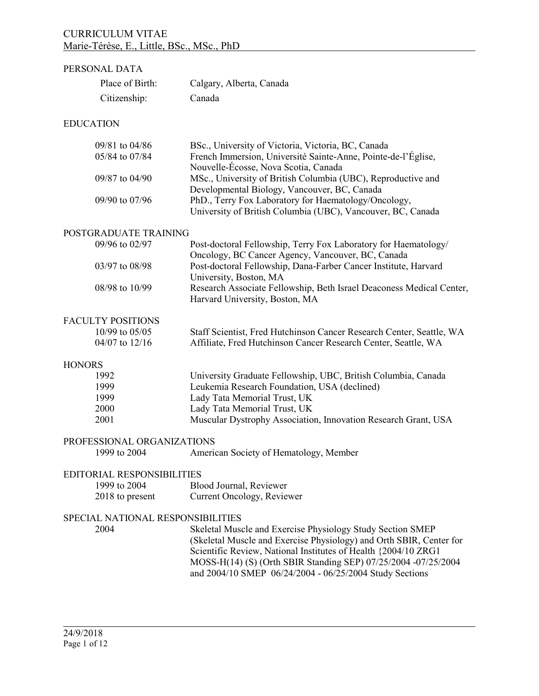# PERSONAL DATA Place of Birth: Calgary, Alberta, Canada Citizenship: Canada **EDUCATION** 09/81 to 04/86 BSc., University of Victoria, Victoria, BC, Canada 05/84 to 07/84 French Immersion, Université Sainte-Anne, Pointe-de-l'Église, Nouvelle-Écosse, Nova Scotia, Canada 09/87 to 04/90 MSc., University of British Columbia (UBC), Reproductive and Developmental Biology, Vancouver, BC, Canada 09/90 to 07/96 PhD., Terry Fox Laboratory for Haematology/Oncology, University of British Columbia (UBC), Vancouver, BC, Canada POSTGRADUATE TRAINING 09/96 to 02/97 Post-doctoral Fellowship, Terry Fox Laboratory for Haematology/ Oncology, BC Cancer Agency, Vancouver, BC, Canada 03/97 to 08/98 Post-doctoral Fellowship, Dana-Farber Cancer Institute, Harvard University, Boston, MA 08/98 to 10/99 Research Associate Fellowship, Beth Israel Deaconess Medical Center, Harvard University, Boston, MA FACULTY POSITIONS 10/99 to 05/05 Staff Scientist, Fred Hutchinson Cancer Research Center, Seattle, WA 04/07 to 12/16 Affiliate, Fred Hutchinson Cancer Research Center, Seattle, WA **HONORS** 1992 University Graduate Fellowship, UBC, British Columbia, Canada 1999 Leukemia Research Foundation, USA (declined) 1999 Lady Tata Memorial Trust, UK 2000 Lady Tata Memorial Trust, UK 2001 Muscular Dystrophy Association, Innovation Research Grant, USA PROFESSIONAL ORGANIZATIONS 1999 to 2004 American Society of Hematology, Member EDITORIAL RESPONSIBILITIES 1999 to 2004 Blood Journal, Reviewer 2018 to present Current Oncology, Reviewer SPECIAL NATIONAL RESPONSIBILITIES 2004 Skeletal Muscle and Exercise Physiology Study Section SMEP (Skeletal Muscle and Exercise Physiology) and Orth SBIR, Center for Scientific Review, National Institutes of Health {2004/10 ZRG1 MOSS-H(14) (S) (Orth SBIR Standing SEP) 07/25/2004 -07/25/2004 and 2004/10 SMEP 06/24/2004 - 06/25/2004 Study Sections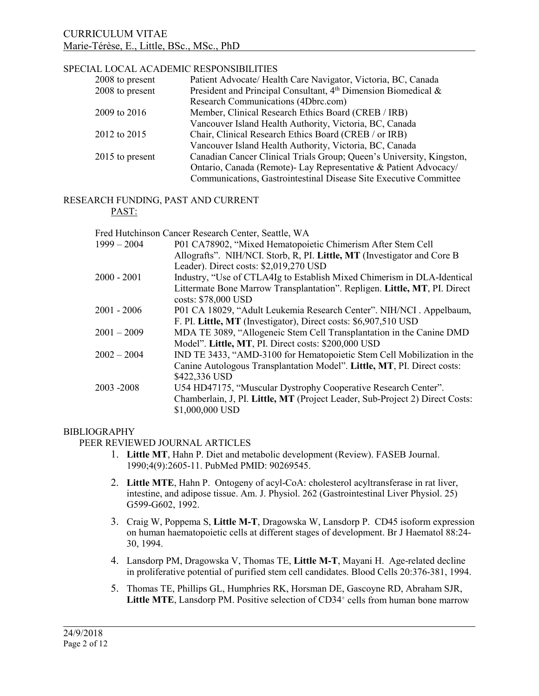### SPECIAL LOCAL ACADEMIC RESPONSIBILITIES

| 2008 to present | Patient Advocate/ Health Care Navigator, Victoria, BC, Canada              |
|-----------------|----------------------------------------------------------------------------|
| 2008 to present | President and Principal Consultant, 4 <sup>th</sup> Dimension Biomedical & |
|                 | Research Communications (4Dbrc.com)                                        |
| 2009 to 2016    | Member, Clinical Research Ethics Board (CREB / IRB)                        |
|                 | Vancouver Island Health Authority, Victoria, BC, Canada                    |
| 2012 to 2015    | Chair, Clinical Research Ethics Board (CREB / or IRB)                      |
|                 | Vancouver Island Health Authority, Victoria, BC, Canada                    |
| 2015 to present | Canadian Cancer Clinical Trials Group; Queen's University, Kingston,       |
|                 | Ontario, Canada (Remote)- Lay Representative & Patient Advocacy/           |
|                 | Communications, Gastrointestinal Disease Site Executive Committee          |

# RESEARCH FUNDING, PAST AND CURRENT

#### PAST:

|               | Fred Hutchinson Cancer Research Center, Seattle, WA                          |
|---------------|------------------------------------------------------------------------------|
| $1999 - 2004$ | P01 CA78902, "Mixed Hematopoietic Chimerism After Stem Cell                  |
|               | Allografts". NIH/NCI. Storb, R, PI. Little, MT (Investigator and Core B      |
|               | Leader). Direct costs: \$2,019,270 USD                                       |
| 2000 - 2001   | Industry, "Use of CTLA4Ig to Establish Mixed Chimerism in DLA-Identical      |
|               | Littermate Bone Marrow Transplantation". Repligen. Little, MT, PI. Direct    |
|               | costs: \$78,000 USD                                                          |
| 2001 - 2006   | P01 CA 18029, "Adult Leukemia Research Center". NIH/NCI . Appelbaum,         |
|               | F. PI. Little, MT (Investigator), Direct costs: \$6,907,510 USD              |
| $2001 - 2009$ | MDA TE 3089, "Allogeneic Stem Cell Transplantation in the Canine DMD         |
|               | Model". Little, MT, PI. Direct costs: \$200,000 USD                          |
| $2002 - 2004$ | IND TE 3433, "AMD-3100 for Hematopoietic Stem Cell Mobilization in the       |
|               | Canine Autologous Transplantation Model". Little, MT, PI. Direct costs:      |
|               | \$422,336 USD                                                                |
| 2003 -2008    | U54 HD47175, "Muscular Dystrophy Cooperative Research Center".               |
|               | Chamberlain, J, PI. Little, MT (Project Leader, Sub-Project 2) Direct Costs: |
|               | \$1,000,000 USD                                                              |
|               |                                                                              |

#### BIBLIOGRAPHY

PEER REVIEWED JOURNAL ARTICLES

- 1. **Little MT**, Hahn P. Diet and metabolic development (Review). FASEB Journal. 1990;4(9):2605-11. PubMed PMID: 90269545.
- 2. **Little MTE**, Hahn P. Ontogeny of acyl-CoA: cholesterol acyltransferase in rat liver, intestine, and adipose tissue. Am. J. Physiol. 262 (Gastrointestinal Liver Physiol. 25) G599-G602, 1992.
- 3. Craig W, Poppema S, **Little M-T**, Dragowska W, Lansdorp P. CD45 isoform expression on human haematopoietic cells at different stages of development. Br J Haematol 88:24- 30, 1994.
- 4. Lansdorp PM, Dragowska V, Thomas TE, **Little M-T**, Mayani H. Age-related decline in proliferative potential of purified stem cell candidates. Blood Cells 20:376-381, 1994.
- 5. Thomas TE, Phillips GL, Humphries RK, Horsman DE, Gascoyne RD, Abraham SJR, Little MTE, Lansdorp PM. Positive selection of CD34<sup>+</sup> cells from human bone marrow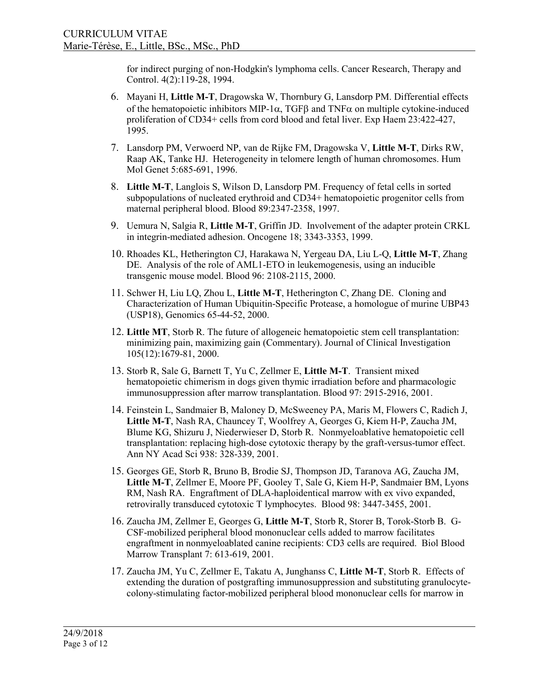for indirect purging of non-Hodgkin's lymphoma cells. Cancer Research, Therapy and Control. 4(2):119-28, 1994.

- 6. Mayani H, **Little M-T**, Dragowska W, Thornbury G, Lansdorp PM. Differential effects of the hematopoietic inhibitors MIP-1 $\alpha$ , TGF $\beta$  and TNF $\alpha$  on multiple cytokine-induced proliferation of CD34+ cells from cord blood and fetal liver. Exp Haem 23:422-427, 1995.
- 7. Lansdorp PM, Verwoerd NP, van de Rijke FM, Dragowska V, **Little M-T**, Dirks RW, Raap AK, Tanke HJ. Heterogeneity in telomere length of human chromosomes. Hum Mol Genet 5:685-691, 1996.
- 8. **Little M-T**, Langlois S, Wilson D, Lansdorp PM. Frequency of fetal cells in sorted subpopulations of nucleated erythroid and CD34+ hematopoietic progenitor cells from maternal peripheral blood. Blood 89:2347-2358, 1997.
- 9. Uemura N, Salgia R, **Little M-T**, Griffin JD. Involvement of the adapter protein CRKL in integrin-mediated adhesion. Oncogene 18; 3343-3353, 1999.
- 10. Rhoades KL, Hetherington CJ, Harakawa N, Yergeau DA, Liu L-Q, **Little M-T**, Zhang DE. Analysis of the role of AML1-ETO in leukemogenesis, using an inducible transgenic mouse model. Blood 96: 2108-2115, 2000.
- 11. Schwer H, Liu LQ, Zhou L, **Little M-T**, Hetherington C, Zhang DE. Cloning and Characterization of Human Ubiquitin-Specific Protease, a homologue of murine UBP43 (USP18), Genomics 65-44-52, 2000.
- 12. **Little MT**, Storb R. The future of allogeneic hematopoietic stem cell transplantation: minimizing pain, maximizing gain (Commentary). Journal of Clinical Investigation 105(12):1679-81, 2000.
- 13. Storb R, Sale G, Barnett T, Yu C, Zellmer E, **Little M-T**. Transient mixed hematopoietic chimerism in dogs given thymic irradiation before and pharmacologic immunosuppression after marrow transplantation. Blood 97: 2915-2916, 2001.
- 14. Feinstein L, Sandmaier B, Maloney D, McSweeney PA, Maris M, Flowers C, Radich J, **Little M-T**, Nash RA, Chauncey T, Woolfrey A, Georges G, Kiem H-P, Zaucha JM, Blume KG, Shizuru J, Niederwieser D, Storb R. Nonmyeloablative hematopoietic cell transplantation: replacing high-dose cytotoxic therapy by the graft-versus-tumor effect. Ann NY Acad Sci 938: 328-339, 2001.
- 15. Georges GE, Storb R, Bruno B, Brodie SJ, Thompson JD, Taranova AG, Zaucha JM, **Little M-T**, Zellmer E, Moore PF, Gooley T, Sale G, Kiem H-P, Sandmaier BM, Lyons RM, Nash RA. Engraftment of DLA-haploidentical marrow with ex vivo expanded, retrovirally transduced cytotoxic T lymphocytes. Blood 98: 3447-3455, 2001.
- 16. Zaucha JM, Zellmer E, Georges G, **Little M-T**, Storb R, Storer B, Torok-Storb B. G-CSF-mobilized peripheral blood mononuclear cells added to marrow facilitates engraftment in nonmyeloablated canine recipients: CD3 cells are required. Biol Blood Marrow Transplant 7: 613-619, 2001.
- 17. Zaucha JM, Yu C, Zellmer E, Takatu A, Junghanss C, **Little M-T**, Storb R. Effects of extending the duration of postgrafting immunosuppression and substituting granulocytecolony-stimulating factor-mobilized peripheral blood mononuclear cells for marrow in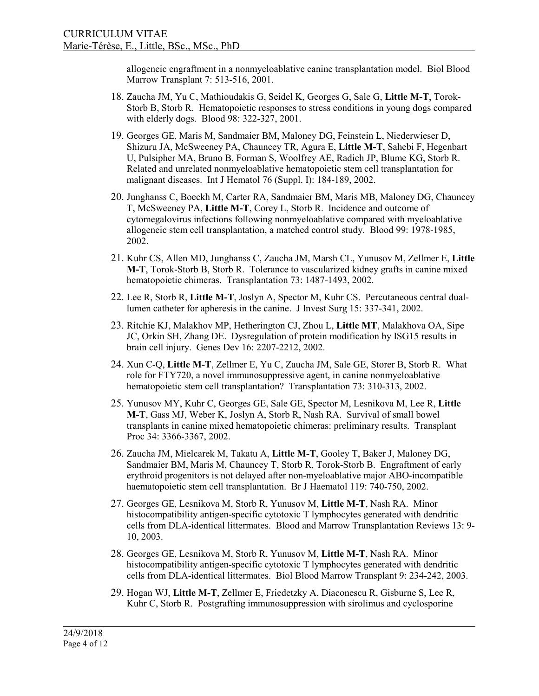allogeneic engraftment in a nonmyeloablative canine transplantation model. Biol Blood Marrow Transplant 7: 513-516, 2001.

- 18. Zaucha JM, Yu C, Mathioudakis G, Seidel K, Georges G, Sale G, **Little M-T**, Torok-Storb B, Storb R. Hematopoietic responses to stress conditions in young dogs compared with elderly dogs. Blood 98: 322-327, 2001.
- 19. Georges GE, Maris M, Sandmaier BM, Maloney DG, Feinstein L, Niederwieser D, Shizuru JA, McSweeney PA, Chauncey TR, Agura E, **Little M-T**, Sahebi F, Hegenbart U, Pulsipher MA, Bruno B, Forman S, Woolfrey AE, Radich JP, Blume KG, Storb R. Related and unrelated nonmyeloablative hematopoietic stem cell transplantation for malignant diseases. Int J Hematol 76 (Suppl. I): 184-189, 2002.
- 20. Junghanss C, Boeckh M, Carter RA, Sandmaier BM, Maris MB, Maloney DG, Chauncey T, McSweeney PA, **Little M-T**, Corey L, Storb R. Incidence and outcome of cytomegalovirus infections following nonmyeloablative compared with myeloablative allogeneic stem cell transplantation, a matched control study. Blood 99: 1978-1985, 2002.
- 21. Kuhr CS, Allen MD, Junghanss C, Zaucha JM, Marsh CL, Yunusov M, Zellmer E, **Little M-T**, Torok-Storb B, Storb R. Tolerance to vascularized kidney grafts in canine mixed hematopoietic chimeras. Transplantation 73: 1487-1493, 2002.
- 22. Lee R, Storb R, **Little M-T**, Joslyn A, Spector M, Kuhr CS. Percutaneous central duallumen catheter for apheresis in the canine. J Invest Surg 15: 337-341, 2002.
- 23. Ritchie KJ, Malakhov MP, Hetherington CJ, Zhou L, **Little MT**, Malakhova OA, Sipe JC, Orkin SH, Zhang DE. Dysregulation of protein modification by ISG15 results in brain cell injury. Genes Dev 16: 2207-2212, 2002.
- 24. Xun C-Q, **Little M-T**, Zellmer E, Yu C, Zaucha JM, Sale GE, Storer B, Storb R. What role for FTY720, a novel immunosuppressive agent, in canine nonmyeloablative hematopoietic stem cell transplantation? Transplantation 73: 310-313, 2002.
- 25. Yunusov MY, Kuhr C, Georges GE, Sale GE, Spector M, Lesnikova M, Lee R, **Little M-T**, Gass MJ, Weber K, Joslyn A, Storb R, Nash RA. Survival of small bowel transplants in canine mixed hematopoietic chimeras: preliminary results. Transplant Proc 34: 3366-3367, 2002.
- 26. Zaucha JM, Mielcarek M, Takatu A, **Little M-T**, Gooley T, Baker J, Maloney DG, Sandmaier BM, Maris M, Chauncey T, Storb R, Torok-Storb B. Engraftment of early erythroid progenitors is not delayed after non-myeloablative major ABO-incompatible haematopoietic stem cell transplantation. Br J Haematol 119: 740-750, 2002.
- 27. Georges GE, Lesnikova M, Storb R, Yunusov M, **Little M-T**, Nash RA. Minor histocompatibility antigen-specific cytotoxic T lymphocytes generated with dendritic cells from DLA-identical littermates. Blood and Marrow Transplantation Reviews 13: 9- 10, 2003.
- 28. Georges GE, Lesnikova M, Storb R, Yunusov M, **Little M-T**, Nash RA. Minor histocompatibility antigen-specific cytotoxic T lymphocytes generated with dendritic cells from DLA-identical littermates. Biol Blood Marrow Transplant 9: 234-242, 2003.
- 29. Hogan WJ, **Little M-T**, Zellmer E, Friedetzky A, Diaconescu R, Gisburne S, Lee R, Kuhr C, Storb R. Postgrafting immunosuppression with sirolimus and cyclosporine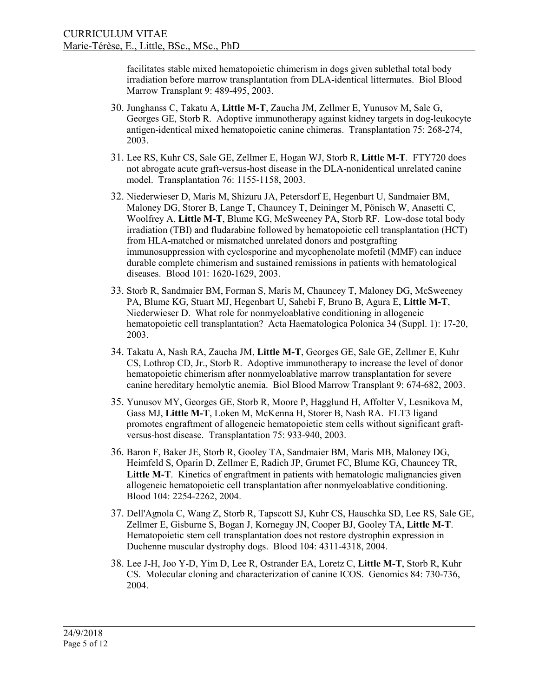facilitates stable mixed hematopoietic chimerism in dogs given sublethal total body irradiation before marrow transplantation from DLA-identical littermates. Biol Blood Marrow Transplant 9: 489-495, 2003.

- 30. Junghanss C, Takatu A, **Little M-T**, Zaucha JM, Zellmer E, Yunusov M, Sale G, Georges GE, Storb R. Adoptive immunotherapy against kidney targets in dog-leukocyte antigen-identical mixed hematopoietic canine chimeras. Transplantation 75: 268-274, 2003.
- 31. Lee RS, Kuhr CS, Sale GE, Zellmer E, Hogan WJ, Storb R, **Little M-T**. FTY720 does not abrogate acute graft-versus-host disease in the DLA-nonidentical unrelated canine model. Transplantation 76: 1155-1158, 2003.
- 32. Niederwieser D, Maris M, Shizuru JA, Petersdorf E, Hegenbart U, Sandmaier BM, Maloney DG, Storer B, Lange T, Chauncey T, Deininger M, Pönisch W, Anasetti C, Woolfrey A, **Little M-T**, Blume KG, McSweeney PA, Storb RF. Low-dose total body irradiation (TBI) and fludarabine followed by hematopoietic cell transplantation (HCT) from HLA-matched or mismatched unrelated donors and postgrafting immunosuppression with cyclosporine and mycophenolate mofetil (MMF) can induce durable complete chimerism and sustained remissions in patients with hematological diseases. Blood 101: 1620-1629, 2003.
- 33. Storb R, Sandmaier BM, Forman S, Maris M, Chauncey T, Maloney DG, McSweeney PA, Blume KG, Stuart MJ, Hegenbart U, Sahebi F, Bruno B, Agura E, **Little M-T**, Niederwieser D. What role for nonmyeloablative conditioning in allogeneic hematopoietic cell transplantation? Acta Haematologica Polonica 34 (Suppl. 1): 17-20, 2003.
- 34. Takatu A, Nash RA, Zaucha JM, **Little M-T**, Georges GE, Sale GE, Zellmer E, Kuhr CS, Lothrop CD, Jr., Storb R. Adoptive immunotherapy to increase the level of donor hematopoietic chimerism after nonmyeloablative marrow transplantation for severe canine hereditary hemolytic anemia. Biol Blood Marrow Transplant 9: 674-682, 2003.
- 35. Yunusov MY, Georges GE, Storb R, Moore P, Hagglund H, Affolter V, Lesnikova M, Gass MJ, **Little M-T**, Loken M, McKenna H, Storer B, Nash RA. FLT3 ligand promotes engraftment of allogeneic hematopoietic stem cells without significant graftversus-host disease. Transplantation 75: 933-940, 2003.
- 36. Baron F, Baker JE, Storb R, Gooley TA, Sandmaier BM, Maris MB, Maloney DG, Heimfeld S, Oparin D, Zellmer E, Radich JP, Grumet FC, Blume KG, Chauncey TR, Little M-T. Kinetics of engraftment in patients with hematologic malignancies given allogeneic hematopoietic cell transplantation after nonmyeloablative conditioning. Blood 104: 2254-2262, 2004.
- 37. Dell'Agnola C, Wang Z, Storb R, Tapscott SJ, Kuhr CS, Hauschka SD, Lee RS, Sale GE, Zellmer E, Gisburne S, Bogan J, Kornegay JN, Cooper BJ, Gooley TA, **Little M-T**. Hematopoietic stem cell transplantation does not restore dystrophin expression in Duchenne muscular dystrophy dogs. Blood 104: 4311-4318, 2004.
- 38. Lee J-H, Joo Y-D, Yim D, Lee R, Ostrander EA, Loretz C, **Little M-T**, Storb R, Kuhr CS. Molecular cloning and characterization of canine ICOS. Genomics 84: 730-736, 2004.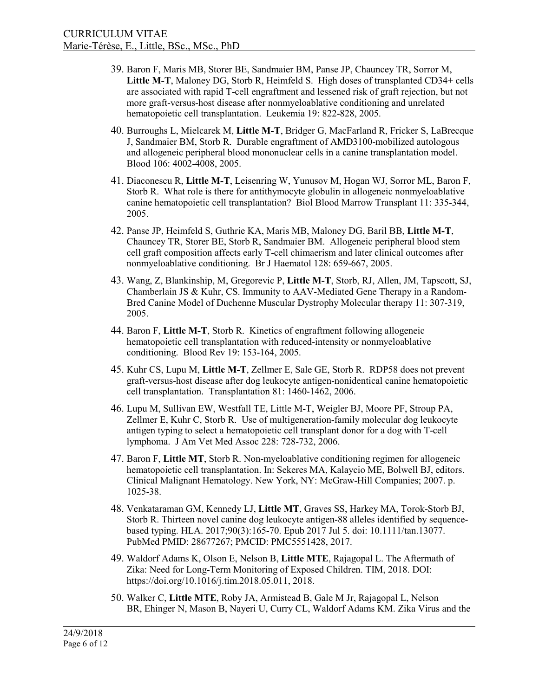- 39. Baron F, Maris MB, Storer BE, Sandmaier BM, Panse JP, Chauncey TR, Sorror M, **Little M-T**, Maloney DG, Storb R, Heimfeld S. High doses of transplanted CD34+ cells are associated with rapid T-cell engraftment and lessened risk of graft rejection, but not more graft-versus-host disease after nonmyeloablative conditioning and unrelated hematopoietic cell transplantation. Leukemia 19: 822-828, 2005.
- 40. Burroughs L, Mielcarek M, **Little M-T**, Bridger G, MacFarland R, Fricker S, LaBrecque J, Sandmaier BM, Storb R. Durable engraftment of AMD3100-mobilized autologous and allogeneic peripheral blood mononuclear cells in a canine transplantation model. Blood 106: 4002-4008, 2005.
- 41. Diaconescu R, **Little M-T**, Leisenring W, Yunusov M, Hogan WJ, Sorror ML, Baron F, Storb R. What role is there for antithymocyte globulin in allogeneic nonmyeloablative canine hematopoietic cell transplantation? Biol Blood Marrow Transplant 11: 335-344, 2005.
- 42. Panse JP, Heimfeld S, Guthrie KA, Maris MB, Maloney DG, Baril BB, **Little M-T**, Chauncey TR, Storer BE, Storb R, Sandmaier BM. Allogeneic peripheral blood stem cell graft composition affects early T-cell chimaerism and later clinical outcomes after nonmyeloablative conditioning. Br J Haematol 128: 659-667, 2005.
- 43. Wang, Z, Blankinship, M, Gregorevic P, **Little M-T**, Storb, RJ, Allen, JM, Tapscott, SJ, Chamberlain JS & Kuhr, CS. Immunity to AAV-Mediated Gene Therapy in a Random-Bred Canine Model of Duchenne Muscular Dystrophy Molecular therapy 11: 307-319, 2005.
- 44. Baron F, **Little M-T**, Storb R. Kinetics of engraftment following allogeneic hematopoietic cell transplantation with reduced-intensity or nonmyeloablative conditioning. Blood Rev 19: 153-164, 2005.
- 45. Kuhr CS, Lupu M, **Little M-T**, Zellmer E, Sale GE, Storb R. RDP58 does not prevent graft-versus-host disease after dog leukocyte antigen-nonidentical canine hematopoietic cell transplantation. Transplantation 81: 1460-1462, 2006.
- 46. Lupu M, Sullivan EW, Westfall TE, Little M-T, Weigler BJ, Moore PF, Stroup PA, Zellmer E, Kuhr C, Storb R. Use of multigeneration-family molecular dog leukocyte antigen typing to select a hematopoietic cell transplant donor for a dog with T-cell lymphoma. J Am Vet Med Assoc 228: 728-732, 2006.
- 47. Baron F, **Little MT**, Storb R. Non-myeloablative conditioning regimen for allogeneic hematopoietic cell transplantation. In: Sekeres MA, Kalaycio ME, Bolwell BJ, editors. Clinical Malignant Hematology. New York, NY: McGraw-Hill Companies; 2007. p. 1025-38.
- 48. Venkataraman GM, Kennedy LJ, **Little MT**, Graves SS, Harkey MA, Torok-Storb BJ, Storb R. Thirteen novel canine dog leukocyte antigen-88 alleles identified by sequencebased typing. HLA. 2017;90(3):165-70. Epub 2017 Jul 5. doi: 10.1111/tan.13077. PubMed PMID: 28677267; PMCID: PMC5551428, 2017.
- 49. Waldorf Adams K, Olson E, Nelson B, **Little MTE**, Rajagopal L. The Aftermath of Zika: Need for Long-Term Monitoring of Exposed Children. TIM, 2018. DOI: [https://doi.org/10.1016/j.tim.2018.05.011,](https://doi.org/10.1016/j.tim.2018.05.011) 2018.
- 50. Walker C, **Little MTE**, Roby JA, [Armistead B,](https://www.ncbi.nlm.nih.gov/pubmed/?term=Armistead%20B%5BAuthor%5D&cauthor=true&cauthor_uid=30171843) [Gale M Jr,](https://www.ncbi.nlm.nih.gov/pubmed/?term=Gale%20M%20Jr%5BAuthor%5D&cauthor=true&cauthor_uid=30171843) [Rajagopal L,](https://www.ncbi.nlm.nih.gov/pubmed/?term=Rajagopal%20L%5BAuthor%5D&cauthor=true&cauthor_uid=30171843) [Nelson](https://www.ncbi.nlm.nih.gov/pubmed/?term=Nelson%20BR%5BAuthor%5D&cauthor=true&cauthor_uid=30171843)  [BR,](https://www.ncbi.nlm.nih.gov/pubmed/?term=Nelson%20BR%5BAuthor%5D&cauthor=true&cauthor_uid=30171843) [Ehinger N,](https://www.ncbi.nlm.nih.gov/pubmed/?term=Ehinger%20N%5BAuthor%5D&cauthor=true&cauthor_uid=30171843) [Mason B,](https://www.ncbi.nlm.nih.gov/pubmed/?term=Mason%20B%5BAuthor%5D&cauthor=true&cauthor_uid=30171843) [Nayeri U,](https://www.ncbi.nlm.nih.gov/pubmed/?term=Nayeri%20U%5BAuthor%5D&cauthor=true&cauthor_uid=30171843) [Curry CL,](https://www.ncbi.nlm.nih.gov/pubmed/?term=Curry%20CL%5BAuthor%5D&cauthor=true&cauthor_uid=30171843) Waldorf Adams KM. Zika Virus and the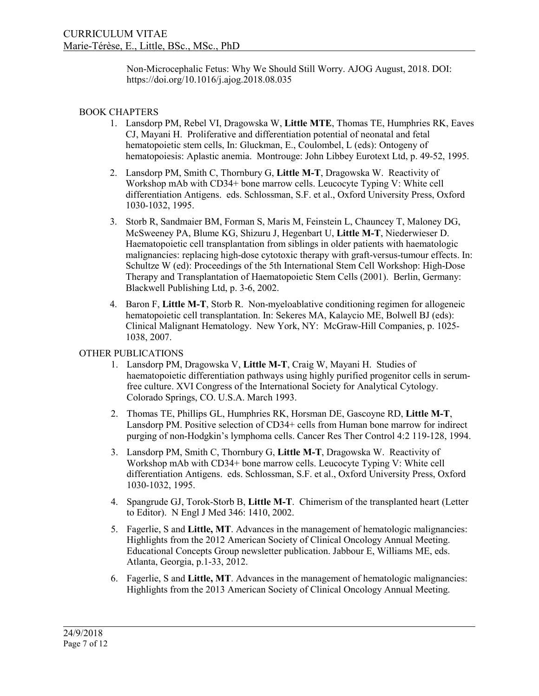Non-Microcephalic Fetus: Why We Should Still Worry. AJOG August, 2018. DOI: <https://doi.org/10.1016/j.ajog.2018.08.035>

# BOOK CHAPTERS

- 1. Lansdorp PM, Rebel VI, Dragowska W, **Little MTE**, Thomas TE, Humphries RK, Eaves CJ, Mayani H. Proliferative and differentiation potential of neonatal and fetal hematopoietic stem cells, In: Gluckman, E., Coulombel, L (eds): Ontogeny of hematopoiesis: Aplastic anemia. Montrouge: John Libbey Eurotext Ltd, p. 49-52, 1995.
- 2. Lansdorp PM, Smith C, Thornbury G, **Little M-T**, Dragowska W. Reactivity of Workshop mAb with CD34+ bone marrow cells. Leucocyte Typing V: White cell differentiation Antigens. eds. Schlossman, S.F. et al., Oxford University Press, Oxford 1030-1032, 1995.
- 3. Storb R, Sandmaier BM, Forman S, Maris M, Feinstein L, Chauncey T, Maloney DG, McSweeney PA, Blume KG, Shizuru J, Hegenbart U, **Little M-T**, Niederwieser D. Haematopoietic cell transplantation from siblings in older patients with haematologic malignancies: replacing high-dose cytotoxic therapy with graft-versus-tumour effects. In: Schultze W (ed): Proceedings of the 5th International Stem Cell Workshop: High-Dose Therapy and Transplantation of Haematopoietic Stem Cells (2001). Berlin, Germany: Blackwell Publishing Ltd, p. 3-6, 2002.
- 4. Baron F, **Little M-T**, Storb R. Non-myeloablative conditioning regimen for allogeneic hematopoietic cell transplantation. In: Sekeres MA, Kalaycio ME, Bolwell BJ (eds): Clinical Malignant Hematology. New York, NY: McGraw-Hill Companies, p. 1025- 1038, 2007.

### OTHER PUBLICATIONS

- 1. Lansdorp PM, Dragowska V, **Little M-T**, Craig W, Mayani H. Studies of haematopoietic differentiation pathways using highly purified progenitor cells in serumfree culture. XVI Congress of the International Society for Analytical Cytology. Colorado Springs, CO. U.S.A. March 1993.
- 2. Thomas TE, Phillips GL, Humphries RK, Horsman DE, Gascoyne RD, **Little M-T**, Lansdorp PM. Positive selection of CD34+ cells from Human bone marrow for indirect purging of non-Hodgkin's lymphoma cells. Cancer Res Ther Control 4:2 119-128, 1994.
- 3. Lansdorp PM, Smith C, Thornbury G, **Little M-T**, Dragowska W. Reactivity of Workshop mAb with CD34+ bone marrow cells. Leucocyte Typing V: White cell differentiation Antigens. eds. Schlossman, S.F. et al., Oxford University Press, Oxford 1030-1032, 1995.
- 4. Spangrude GJ, Torok-Storb B, **Little M-T**. Chimerism of the transplanted heart (Letter to Editor). N Engl J Med 346: 1410, 2002.
- 5. Fagerlie, S and **Little, MT**. Advances in the management of hematologic malignancies: Highlights from the 2012 American Society of Clinical Oncology Annual Meeting. Educational Concepts Group newsletter publication. Jabbour E, Williams ME, eds. Atlanta, Georgia, p.1-33, 2012.
- 6. Fagerlie, S and **Little, MT**. Advances in the management of hematologic malignancies: Highlights from the 2013 American Society of Clinical Oncology Annual Meeting.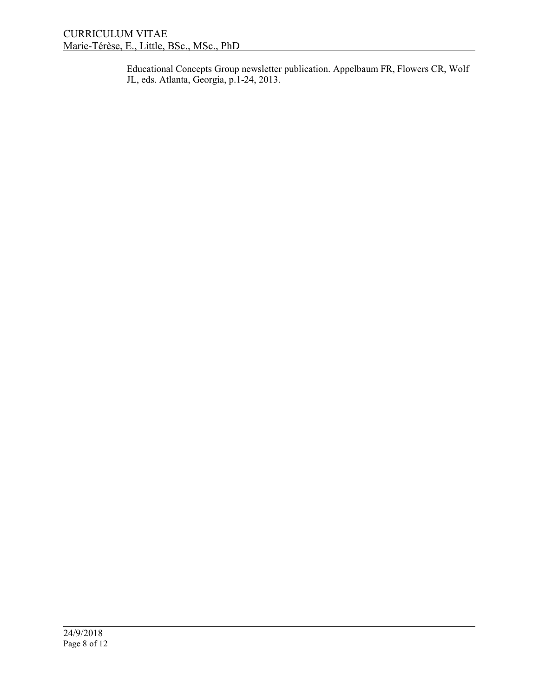Educational Concepts Group newsletter publication. Appelbaum FR, Flowers CR, Wolf JL, eds. Atlanta, Georgia, p.1-24, 2013.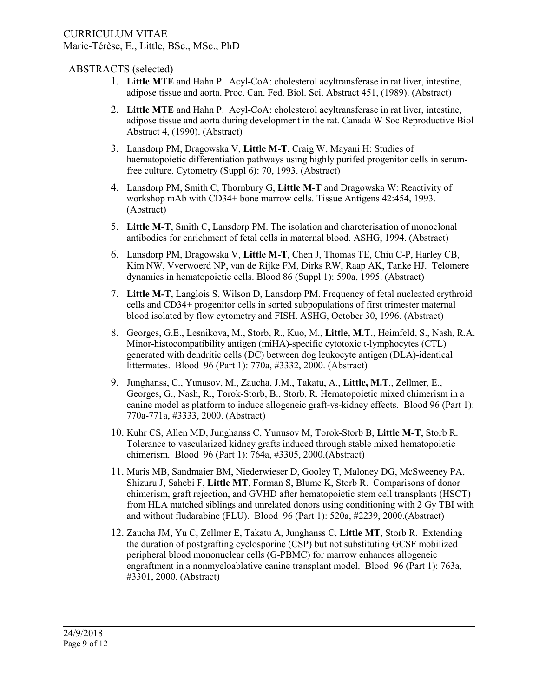# ABSTRACTS (selected)

- 1. **Little MTE** and Hahn P. Acyl-CoA: cholesterol acyltransferase in rat liver, intestine, adipose tissue and aorta. Proc. Can. Fed. Biol. Sci. Abstract 451, (1989). (Abstract)
- 2. **Little MTE** and Hahn P. Acyl-CoA: cholesterol acyltransferase in rat liver, intestine, adipose tissue and aorta during development in the rat. Canada W Soc Reproductive Biol Abstract 4, (1990). (Abstract)
- 3. Lansdorp PM, Dragowska V, **Little M-T**, Craig W, Mayani H: Studies of haematopoietic differentiation pathways using highly purifed progenitor cells in serumfree culture. Cytometry (Suppl 6): 70, 1993. (Abstract)
- 4. Lansdorp PM, Smith C, Thornbury G, **Little M-T** and Dragowska W: Reactivity of workshop mAb with CD34+ bone marrow cells. Tissue Antigens 42:454, 1993. (Abstract)
- 5. **Little M-T**, Smith C, Lansdorp PM. The isolation and charcterisation of monoclonal antibodies for enrichment of fetal cells in maternal blood. ASHG, 1994. (Abstract)
- 6. Lansdorp PM, Dragowska V, **Little M-T**, Chen J, Thomas TE, Chiu C-P, Harley CB, Kim NW, Vverwoerd NP, van de Rijke FM, Dirks RW, Raap AK, Tanke HJ. Telomere dynamics in hematopoietic cells. Blood 86 (Suppl 1): 590a, 1995. (Abstract)
- 7. **Little M-T**, Langlois S, Wilson D, Lansdorp PM. Frequency of fetal nucleated erythroid cells and CD34+ progenitor cells in sorted subpopulations of first trimester maternal blood isolated by flow cytometry and FISH. ASHG, October 30, 1996. (Abstract)
- 8. Georges, G.E., Lesnikova, M., Storb, R., Kuo, M., **Little, M.T**., Heimfeld, S., Nash, R.A. Minor-histocompatibility antigen (miHA)-specific cytotoxic t-lymphocytes (CTL) generated with dendritic cells (DC) between dog leukocyte antigen (DLA)-identical littermates. Blood 96 (Part 1): 770a, #3332, 2000. (Abstract)
- 9. Junghanss, C., Yunusov, M., Zaucha, J.M., Takatu, A., **Little, M.T**., Zellmer, E., Georges, G., Nash, R., Torok-Storb, B., Storb, R. Hematopoietic mixed chimerism in a canine model as platform to induce allogeneic graft-vs-kidney effects. Blood 96 (Part 1): 770a-771a, #3333, 2000. (Abstract)
- 10. Kuhr CS, Allen MD, Junghanss C, Yunusov M, Torok-Storb B, **Little M-T**, Storb R. Tolerance to vascularized kidney grafts induced through stable mixed hematopoietic chimerism. Blood 96 (Part 1): 764a, #3305, 2000.(Abstract)
- 11. Maris MB, Sandmaier BM, Niederwieser D, Gooley T, Maloney DG, McSweeney PA, Shizuru J, Sahebi F, **Little MT**, Forman S, Blume K, Storb R. Comparisons of donor chimerism, graft rejection, and GVHD after hematopoietic stem cell transplants (HSCT) from HLA matched siblings and unrelated donors using conditioning with 2 Gy TBI with and without fludarabine (FLU). Blood 96 (Part 1): 520a, #2239, 2000.(Abstract)
- 12. Zaucha JM, Yu C, Zellmer E, Takatu A, Junghanss C, **Little MT**, Storb R. Extending the duration of postgrafting cyclosporine (CSP) but not substituting GCSF mobilized peripheral blood mononuclear cells (G-PBMC) for marrow enhances allogeneic engraftment in a nonmyeloablative canine transplant model. Blood 96 (Part 1): 763a, #3301, 2000. (Abstract)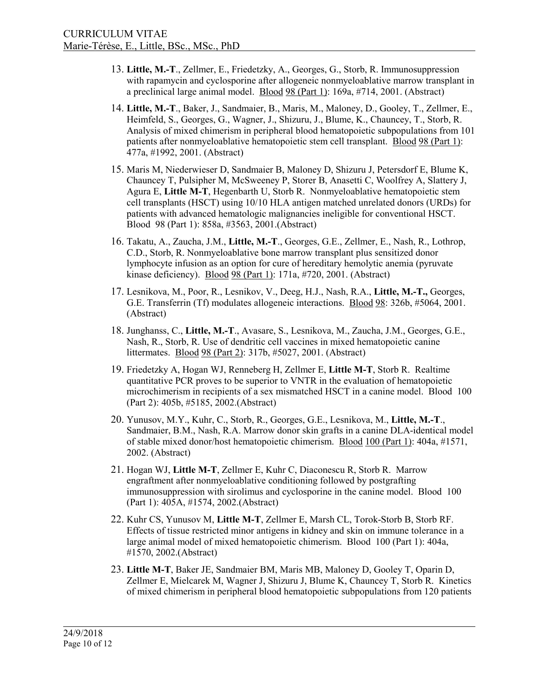- 13. **Little, M.-T**., Zellmer, E., Friedetzky, A., Georges, G., Storb, R. Immunosuppression with rapamycin and cyclosporine after allogeneic nonmyeloablative marrow transplant in a preclinical large animal model. Blood 98 (Part 1): 169a, #714, 2001. (Abstract)
- 14. **Little, M.-T**., Baker, J., Sandmaier, B., Maris, M., Maloney, D., Gooley, T., Zellmer, E., Heimfeld, S., Georges, G., Wagner, J., Shizuru, J., Blume, K., Chauncey, T., Storb, R. Analysis of mixed chimerism in peripheral blood hematopoietic subpopulations from 101 patients after nonmyeloablative hematopoietic stem cell transplant. Blood 98 (Part 1): 477a, #1992, 2001. (Abstract)
- 15. Maris M, Niederwieser D, Sandmaier B, Maloney D, Shizuru J, Petersdorf E, Blume K, Chauncey T, Pulsipher M, McSweeney P, Storer B, Anasetti C, Woolfrey A, Slattery J, Agura E, **Little M-T**, Hegenbarth U, Storb R. Nonmyeloablative hematopoietic stem cell transplants (HSCT) using 10/10 HLA antigen matched unrelated donors (URDs) for patients with advanced hematologic malignancies ineligible for conventional HSCT. Blood 98 (Part 1): 858a, #3563, 2001.(Abstract)
- 16. Takatu, A., Zaucha, J.M., **Little, M.-T**., Georges, G.E., Zellmer, E., Nash, R., Lothrop, C.D., Storb, R. Nonmyeloablative bone marrow transplant plus sensitized donor lymphocyte infusion as an option for cure of hereditary hemolytic anemia (pyruvate kinase deficiency). Blood 98 (Part 1): 171a, #720, 2001. (Abstract)
- 17. Lesnikova, M., Poor, R., Lesnikov, V., Deeg, H.J., Nash, R.A., **Little, M.-T.,** Georges, G.E. Transferrin (Tf) modulates allogeneic interactions. Blood 98: 326b, #5064, 2001. (Abstract)
- 18. Junghanss, C., **Little, M.-T**., Avasare, S., Lesnikova, M., Zaucha, J.M., Georges, G.E., Nash, R., Storb, R. Use of dendritic cell vaccines in mixed hematopoietic canine littermates. Blood 98 (Part 2): 317b, #5027, 2001. (Abstract)
- 19. Friedetzky A, Hogan WJ, Renneberg H, Zellmer E, **Little M-T**, Storb R. Realtime quantitative PCR proves to be superior to VNTR in the evaluation of hematopoietic microchimerism in recipients of a sex mismatched HSCT in a canine model. Blood 100 (Part 2): 405b, #5185, 2002.(Abstract)
- 20. Yunusov, M.Y., Kuhr, C., Storb, R., Georges, G.E., Lesnikova, M., **Little, M.-T**., Sandmaier, B.M., Nash, R.A. Marrow donor skin grafts in a canine DLA-identical model of stable mixed donor/host hematopoietic chimerism. Blood 100 (Part 1): 404a, #1571, 2002. (Abstract)
- 21. Hogan WJ, **Little M-T**, Zellmer E, Kuhr C, Diaconescu R, Storb R. Marrow engraftment after nonmyeloablative conditioning followed by postgrafting immunosuppression with sirolimus and cyclosporine in the canine model. Blood 100 (Part 1): 405A, #1574, 2002.(Abstract)
- 22. Kuhr CS, Yunusov M, **Little M-T**, Zellmer E, Marsh CL, Torok-Storb B, Storb RF. Effects of tissue restricted minor antigens in kidney and skin on immune tolerance in a large animal model of mixed hematopoietic chimerism. Blood 100 (Part 1): 404a, #1570, 2002.(Abstract)
- 23. **Little M-T**, Baker JE, Sandmaier BM, Maris MB, Maloney D, Gooley T, Oparin D, Zellmer E, Mielcarek M, Wagner J, Shizuru J, Blume K, Chauncey T, Storb R. Kinetics of mixed chimerism in peripheral blood hematopoietic subpopulations from 120 patients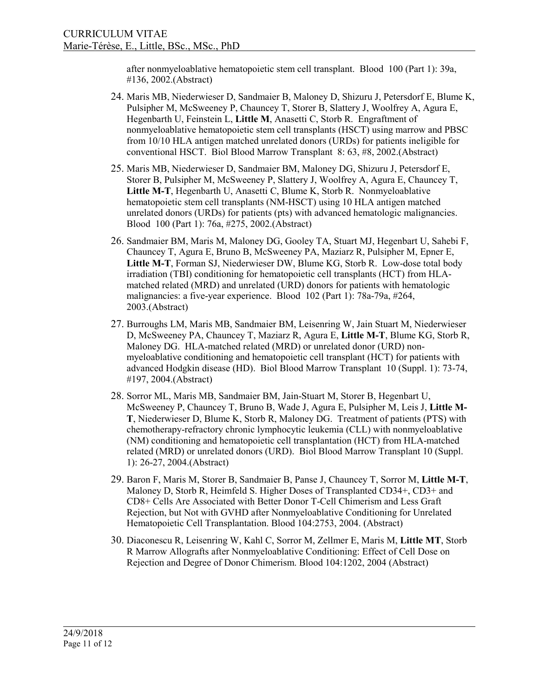after nonmyeloablative hematopoietic stem cell transplant. Blood 100 (Part 1): 39a, #136, 2002.(Abstract)

- 24. Maris MB, Niederwieser D, Sandmaier B, Maloney D, Shizuru J, Petersdorf E, Blume K, Pulsipher M, McSweeney P, Chauncey T, Storer B, Slattery J, Woolfrey A, Agura E, Hegenbarth U, Feinstein L, **Little M**, Anasetti C, Storb R. Engraftment of nonmyeloablative hematopoietic stem cell transplants (HSCT) using marrow and PBSC from 10/10 HLA antigen matched unrelated donors (URDs) for patients ineligible for conventional HSCT. Biol Blood Marrow Transplant 8: 63, #8, 2002.(Abstract)
- 25. Maris MB, Niederwieser D, Sandmaier BM, Maloney DG, Shizuru J, Petersdorf E, Storer B, Pulsipher M, McSweeney P, Slattery J, Woolfrey A, Agura E, Chauncey T, **Little M-T**, Hegenbarth U, Anasetti C, Blume K, Storb R. Nonmyeloablative hematopoietic stem cell transplants (NM-HSCT) using 10 HLA antigen matched unrelated donors (URDs) for patients (pts) with advanced hematologic malignancies. Blood 100 (Part 1): 76a, #275, 2002.(Abstract)
- 26. Sandmaier BM, Maris M, Maloney DG, Gooley TA, Stuart MJ, Hegenbart U, Sahebi F, Chauncey T, Agura E, Bruno B, McSweeney PA, Maziarz R, Pulsipher M, Epner E, **Little M-T**, Forman SJ, Niederwieser DW, Blume KG, Storb R. Low-dose total body irradiation (TBI) conditioning for hematopoietic cell transplants (HCT) from HLAmatched related (MRD) and unrelated (URD) donors for patients with hematologic malignancies: a five-year experience. Blood 102 (Part 1): 78a-79a, #264, 2003.(Abstract)
- 27. Burroughs LM, Maris MB, Sandmaier BM, Leisenring W, Jain Stuart M, Niederwieser D, McSweeney PA, Chauncey T, Maziarz R, Agura E, **Little M-T**, Blume KG, Storb R, Maloney DG. HLA-matched related (MRD) or unrelated donor (URD) nonmyeloablative conditioning and hematopoietic cell transplant (HCT) for patients with advanced Hodgkin disease (HD). Biol Blood Marrow Transplant 10 (Suppl. 1): 73-74, #197, 2004.(Abstract)
- 28. Sorror ML, Maris MB, Sandmaier BM, Jain-Stuart M, Storer B, Hegenbart U, McSweeney P, Chauncey T, Bruno B, Wade J, Agura E, Pulsipher M, Leis J, **Little M-T**, Niederwieser D, Blume K, Storb R, Maloney DG. Treatment of patients (PTS) with chemotherapy-refractory chronic lymphocytic leukemia (CLL) with nonmyeloablative (NM) conditioning and hematopoietic cell transplantation (HCT) from HLA-matched related (MRD) or unrelated donors (URD). Biol Blood Marrow Transplant 10 (Suppl. 1): 26-27, 2004.(Abstract)
- 29. Baron F, Maris M, Storer B, Sandmaier B, Panse J, Chauncey T, Sorror M, **Little M-T**, Maloney D, Storb R, Heimfeld S. [Higher Doses of Transplanted CD34+, CD3+ and](http://www.bloodjournal.org/content/104/11/2753)  [CD8+ Cells Are Associated with Better Donor T-Cell Chimerism and Less Graft](http://www.bloodjournal.org/content/104/11/2753)  [Rejection, but Not with GVHD after Nonmyeloablative Conditioning for Unrelated](http://www.bloodjournal.org/content/104/11/2753)  [Hematopoietic Cell Transplantation.](http://www.bloodjournal.org/content/104/11/2753) Blood 104:2753, 2004. (Abstract)
- 30. Diaconescu R, Leisenring W, Kahl C, Sorror M, Zellmer E, Maris M, **Little MT**, Storb R Marrow Allografts after Nonmyeloablative Conditioning: Effect of Cell Dose on Rejection and Degree of Donor Chimerism. Blood 104:1202, 2004 (Abstract)